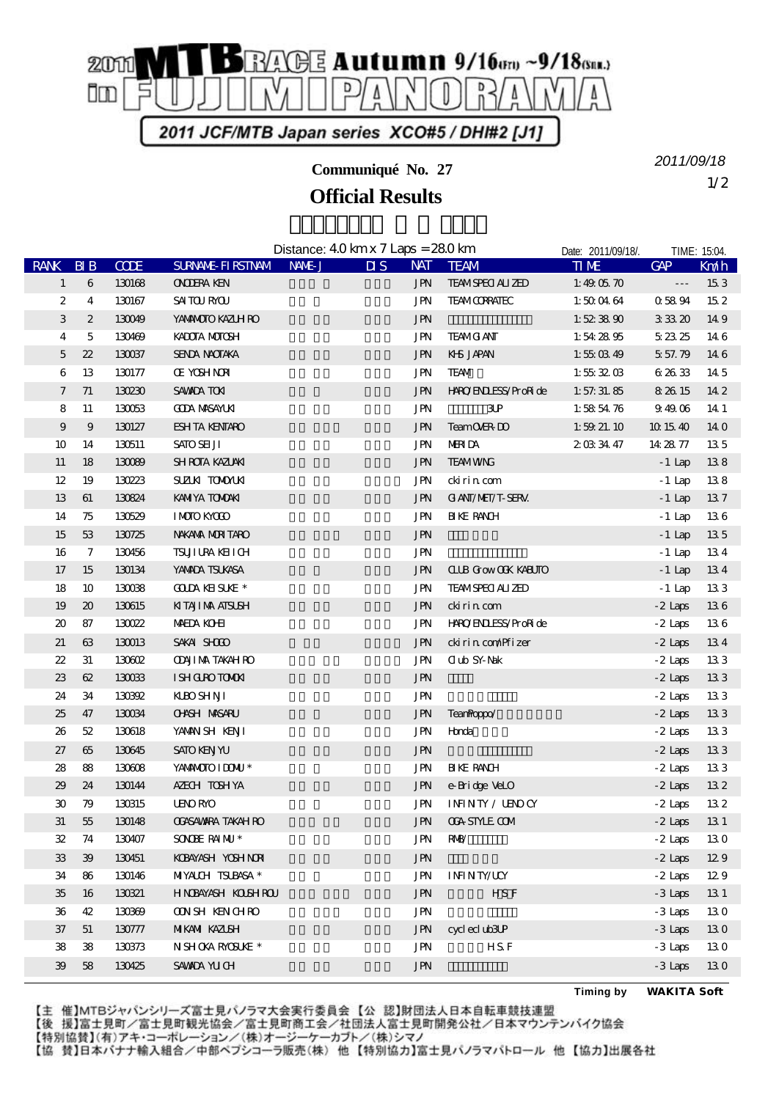

**Communiqué No. 27**

**Official Results**

1/2 *2011/09/18*

Distance: 4.0 km x 7 Laps = 28.0 km Date: 2011/09/18/. TIME: 15:04 RANK BIB CODE SURNAME-FIRSTNAM NAME-J DIS NAT TEAM TIME GAP Km/h  $1 \quad 6 \quad 130168$  ONODERA KEN  $\blacksquare$   $\blacksquare$  TEAM SPECIALIZED 1:49:05.70  $\blacksquare$  15.3  $2$  4 130167 SAITOURAOU FOU ALL SERVICORRATEC 1:50:04:64 0:58:94 15.2 3 2 130049 YAMAMOTO KAZUHIRO JPN JPN + 1:52:38.90 3:33.20 14.9 4 5 130469 KADOTA MOTOSHI PEAM GIANT 1:54:28.95 5:23.25 14.6  $5$   $22$   $130037$  SENDA NAOTAKA  $5$  JPN KHS JAPAN  $1:55\times39$   $5:57\times9$   $14\times6$ 6 13 130177 OE YOSHINORI CONTROL DEVICE TO JPN TEAM 1:55:32:03 6:26:33 14:5 7 71 130230 SAWADA TOKI REGIONAL TO THE STATE OF THE STATE OF THE STATE 14.2 8 11 130053 GODA MASAYUKI CHE SHE JPN 3UP 1:58:54.76 9:49:06 14:1 9 9 130127 ESHITA KENTARO JPN Team OVER-DO 1:59:21.10 10:15:40 14:0 10 14 130511 SATO SEIJI <del>CHA SATO SEIDI CHA SERIA SERIA SERIAL SATO SERIA SERIA SERIA SERIA SERIA SERIA SERIA SE</del> 11 18 130089 SHROTA KAZUAKI KAZUAKI TEAM WING ATA TEAM WING -1 Lap 13.8 12 19 130223 SUZUKI TOMOYUKI 鈴木 智之 神奈川県 JPN ckirin.com -1 Lap 13.8 13 61 130824 KAMIYA TOMOAKI + 1 Lap 13.7 14 75 130529 IMOTO KYOGO 1 1 Lap 13.6 15 53 130725 NAKAMA MUNTARO **JPN JPN** 53 130725 NAKAMA MUNTARO 16 7 130456 TSUJIURA KEIICHI ICHI JPN JPN -1 Lap 13.4 17 15 130134 YAMADA TSUKASA 1999 13.4 JPN CLUB Grow OGK KABUTO -1 Lap 13.4 18 10 130038 GOUNAVEISUKE \* JPN TEAM SPECIALIZED -1 Lap 13.3 19 20 130615 KITAJIMA ATSUSH 20 13.6 20 87 130022 MAEDA KOHEI in the URN HARO/ENDLESS/ProRide -2 Laps 13.6 21 63 130013 SAKAI SHOGO **The SAKAI SHOGO TEXA A** JPN ckirin.com/Pfizer -2 Laps 13.4 22 31 130602 ODAJIMA TAKAHIRO JPN Club SY-Nak -2 Laps 13.3 23 62 13003 ISHIGURO TOMOKI CHARA HERE TO THE USE OF THE SALE OF THE SALE OF THE SALE OF THE SALE OF THE SALE O 24 34 130392 KUBO SHINJI 2006 REGISTAL JIN JIN 3-2 Laps 13.3 25 47 130034 OHASHI MASARU 大橋 優 大阪府 JPN TeamPoppo/なんちゃって -2 Laps 13.3 26 52 130618 YAWANISHI KENJI 1000 KENDI UNI UNI HOnda Honda 2 Laps 13.3 27 65 130645 SATO KENJYU CHE REGIONAL DENGANG ARAWAY CHE REGIONAL DENGANG ARAWAY 2014 SA 2014 DENGANG ARAWAY 20 28 88 130608 YAMAMOTO IDOMU \* 山本 兆 北海道 JPN BIKE RANCH -2 Laps 13.3 29 24 130144 AZECHITOSHIYA temporari JPN e-Bridge VeLO -2 Laps 13.2  $30 \quad 79 \quad 130315 \quad 1500 \text{R}$  UENO  $32 \quad 2 \text{L}$  and  $32 \quad 2 \text{L}$ 31 55 130148 OGASAWARA TAKAHIRO 小笠原 崇裕 東京都 JPN OGA-STYLE.COM -2 Laps 13.1  $32 \quad 74 \quad 130407 \quad SOOBE RAMU^*$  DIN RMB/ 33 39 130451 KOBAYASHI YOSHINORI 小林 義典 東京都 JPN チーム埼玉県人 -2 Laps 12.9 34 86 130146 MIYALCHI TSUBASA \* JPN INFINITY/UCY - 2 Laps 12.9 35 16 130321 HNDBAYASH KOUSHIROU UNIVERSITY OF THE HEATHER HEATHER ASSESSED AS A STATE OF THE STATE OF THE STA 36 42 130369 OONISH KENICHIRO JPN JPN 3Laps 13.0 37 51 130777 MIKANIIKAZUSHI ELELELELELELELELELELELEN JEN cycleclub3UP -3 Laps 13.0 38 38 130373 NISHOKA RACSUKE \* JPN H.S.F -3 Laps 13.0 39 58 130425 SAWADA YUCHI BERTADA YUCHI JIN SERBENGA DAN SERBENGA DAN HASIL SERBENGA DAN FEBRENGA DAN SERBENGA

**Timing by** *WAKITA Soft*

【主 催】MTBジャパンシリーズ富士見パノラマ大会実行委員会【公 認】財団法人日本自転車競技連盟

【後 援】富士見町/富士見町観光協会/富士見町商工会/社団法人富士見町開発公社/日本マウンテンバイク協会 【特別協賛】(有)アキ・コーポレーション/(株)オージーケーカブト/(株)シマノ

【協 賛】日本バナナ輸入組合/中部ペプシコーラ販売(株) 他【特別協力】富士見パノラマパトロール 他【協力】出展各社